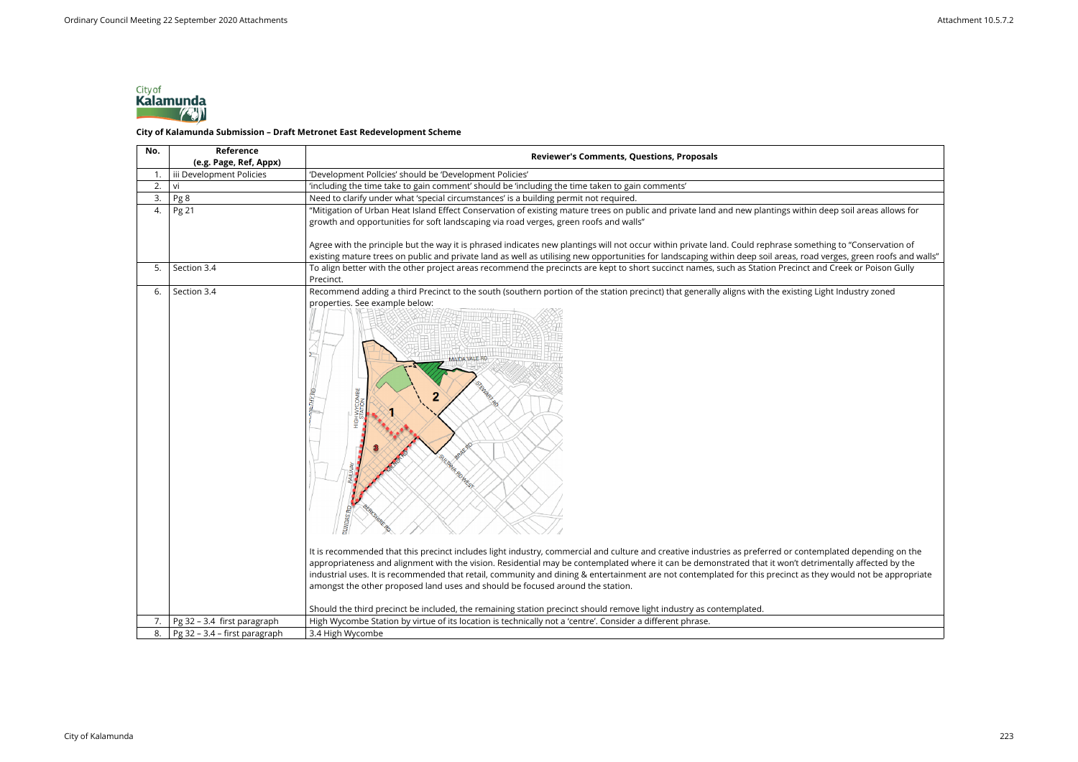| No. | Reference<br>(e.g. Page, Ref, Appx) | <b>Reviewer's Comments, Questions, Proposals</b>                                                                                                                                                                                                                                                                                                                                                                                                                                                                                                                                                                                                                                                                                                                                                                                                                                                                                                                                                                                                    |
|-----|-------------------------------------|-----------------------------------------------------------------------------------------------------------------------------------------------------------------------------------------------------------------------------------------------------------------------------------------------------------------------------------------------------------------------------------------------------------------------------------------------------------------------------------------------------------------------------------------------------------------------------------------------------------------------------------------------------------------------------------------------------------------------------------------------------------------------------------------------------------------------------------------------------------------------------------------------------------------------------------------------------------------------------------------------------------------------------------------------------|
| 1.  | iii Development Policies            | 'Development Pollcies' should be 'Development Policies'                                                                                                                                                                                                                                                                                                                                                                                                                                                                                                                                                                                                                                                                                                                                                                                                                                                                                                                                                                                             |
| 2.  | vi                                  | 'including the time take to gain comment' should be 'including the time taken to gain comments'                                                                                                                                                                                                                                                                                                                                                                                                                                                                                                                                                                                                                                                                                                                                                                                                                                                                                                                                                     |
| 3.  | Pg 8                                | Need to clarify under what 'special circumstances' is a building permit not required.                                                                                                                                                                                                                                                                                                                                                                                                                                                                                                                                                                                                                                                                                                                                                                                                                                                                                                                                                               |
| 4.  | Pg 21                               | "Mitigation of Urban Heat Island Effect Conservation of existing mature trees on public and private land and new plantings within deep soil areas allows for<br>growth and opportunities for soft landscaping via road verges, green roofs and walls"                                                                                                                                                                                                                                                                                                                                                                                                                                                                                                                                                                                                                                                                                                                                                                                               |
|     |                                     | Agree with the principle but the way it is phrased indicates new plantings will not occur within private land. Could rephrase something to "Conservation of                                                                                                                                                                                                                                                                                                                                                                                                                                                                                                                                                                                                                                                                                                                                                                                                                                                                                         |
|     |                                     | existing mature trees on public and private land as well as utilising new opportunities for landscaping within deep soil areas, road verges, green roofs and walls"                                                                                                                                                                                                                                                                                                                                                                                                                                                                                                                                                                                                                                                                                                                                                                                                                                                                                 |
| 5.  | Section 3.4                         | To align better with the other project areas recommend the precincts are kept to short succinct names, such as Station Precinct and Creek or Poison Gully<br>Precinct.                                                                                                                                                                                                                                                                                                                                                                                                                                                                                                                                                                                                                                                                                                                                                                                                                                                                              |
| 6.  | Section 3.4                         | Recommend adding a third Precinct to the south (southern portion of the station precinct) that generally aligns with the existing Light Industry zoned<br>properties. See example below:<br><b>MAIDA VALE RD</b><br><b>OR AHITA</b><br>It is recommended that this precinct includes light industry, commercial and culture and creative industries as preferred or contemplated depending on the<br>appropriateness and alignment with the vision. Residential may be contemplated where it can be demonstrated that it won't detrimentally affected by the<br>industrial uses. It is recommended that retail, community and dining & entertainment are not contemplated for this precinct as they would not be appropriate<br>amongst the other proposed land uses and should be focused around the station.<br>Should the third precinct be included, the remaining station precinct should remove light industry as contemplated.<br>High Wycombe Station by virtue of its location is technically not a 'centre'. Consider a different phrase. |
| 7.  | Pg 32 - 3.4 first paragraph         |                                                                                                                                                                                                                                                                                                                                                                                                                                                                                                                                                                                                                                                                                                                                                                                                                                                                                                                                                                                                                                                     |
| 8.  | Pg 32 - 3.4 - first paragraph       | 3.4 High Wycombe                                                                                                                                                                                                                                                                                                                                                                                                                                                                                                                                                                                                                                                                                                                                                                                                                                                                                                                                                                                                                                    |



## City of<br>**Kalamunda**<br>City of Kalamunda Submission – Draft Metronet East Redevelopment Scheme

| in deep soil areas allows for                                                                              |
|------------------------------------------------------------------------------------------------------------|
| ething to "Conservation of<br>ad verges, green roofs and walls <mark>"</mark><br>and Creek or Poison Gully |
| g Light Industry zoned                                                                                     |
|                                                                                                            |
|                                                                                                            |
|                                                                                                            |
|                                                                                                            |
|                                                                                                            |
|                                                                                                            |
|                                                                                                            |
|                                                                                                            |
|                                                                                                            |
|                                                                                                            |
|                                                                                                            |
| templated depending on the<br>trimentally affected by the<br>they would not be appropriate                 |
|                                                                                                            |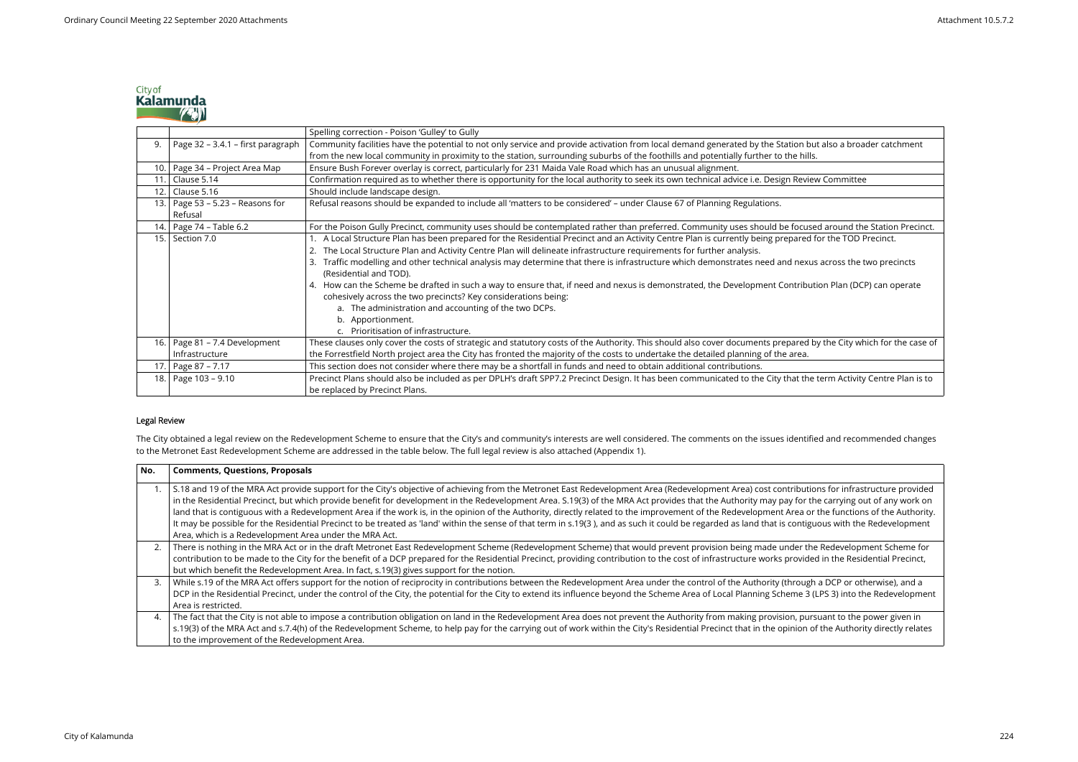|      |                                   | Spelling correction - Poison 'Gulley' to Gully                                                                                                 |
|------|-----------------------------------|------------------------------------------------------------------------------------------------------------------------------------------------|
| 9.   | Page 32 - 3.4.1 - first paragraph | Community facilities have the potential to not only service and provide activation from local demand generated by the Station but also a broad |
|      |                                   | from the new local community in proximity to the station, surrounding suburbs of the foothills and potentially further to the hills.           |
| 10.  | Page 34 - Project Area Map        | Ensure Bush Forever overlay is correct, particularly for 231 Maida Vale Road which has an unusual alignment.                                   |
|      | 11. Clause 5.14                   | Confirmation required as to whether there is opportunity for the local authority to seek its own technical advice i.e. Design Review Committee |
| 12.1 | Clause 5.16                       | Should include landscape design.                                                                                                               |
|      | 13. Page 53 – 5.23 – Reasons for  | Refusal reasons should be expanded to include all 'matters to be considered' - under Clause 67 of Planning Regulations.                        |
|      | Refusal                           |                                                                                                                                                |
|      | 14. Page 74 - Table 6.2           | For the Poison Gully Precinct, community uses should be contemplated rather than preferred. Community uses should be focused around the        |
| 15.  | Section 7.0                       | A Local Structure Plan has been prepared for the Residential Precinct and an Activity Centre Plan is currently being prepared for the TOD P    |
|      |                                   | The Local Structure Plan and Activity Centre Plan will delineate infrastructure requirements for further analysis.                             |
|      |                                   | Traffic modelling and other technical analysis may determine that there is infrastructure which demonstrates need and nexus across the t       |
|      |                                   | (Residential and TOD).                                                                                                                         |
|      |                                   | 4. How can the Scheme be drafted in such a way to ensure that, if need and nexus is demonstrated, the Development Contribution Plan (DCF       |
|      |                                   | cohesively across the two precincts? Key considerations being:                                                                                 |
|      |                                   | a. The administration and accounting of the two DCPs.                                                                                          |
|      |                                   | b. Apportionment.                                                                                                                              |
|      |                                   | c. Prioritisation of infrastructure.                                                                                                           |
| 16.  | Page 81 - 7.4 Development         | These clauses only cover the costs of strategic and statutory costs of the Authority. This should also cover documents prepared by the City wh |
|      | Infrastructure                    | the Forrestfield North project area the City has fronted the majority of the costs to undertake the detailed planning of the area.             |
| 17.  | Page 87 - 7.17                    | This section does not consider where there may be a shortfall in funds and need to obtain additional contributions.                            |
| 18.  | Page 103 - 9.10                   | Precinct Plans should also be included as per DPLH's draft SPP7.2 Precinct Design. It has been communicated to the City that the term Activity |
|      |                                   | be replaced by Precinct Plans.                                                                                                                 |

The City obtained a legal review on the Redevelopment Scheme to ensure that the City's and community's interests are well considered. The comments on the issues identified and recommended changes to the Metronet East Redevelopment Scheme are addressed in the table below. The full legal review is also attached (Appendix 1).

## **Legal Review**

| No. | <b>Comments, Questions, Proposals</b>                                                                                                                                      |
|-----|----------------------------------------------------------------------------------------------------------------------------------------------------------------------------|
|     | S.18 and 19 of the MRA Act provide support for the City's objective of achieving from the Metronet East Redevelopment Area (Redevelopment Area) cost contribution          |
|     | in the Residential Precinct, but which provide benefit for development in the Redevelopment Area. S.19(3) of the MRA Act provides that the Authority may pay for the       |
|     | land that is contiguous with a Redevelopment Area if the work is, in the opinion of the Authority, directly related to the improvement of the Redevelopment Area or        |
|     | It may be possible for the Residential Precinct to be treated as 'land' within the sense of that term in s.19(3), and as such it could be regarded as land that is contige |
|     | Area, which is a Redevelopment Area under the MRA Act.                                                                                                                     |
| 2.  | There is nothing in the MRA Act or in the draft Metronet East Redevelopment Scheme (Redevelopment Scheme) that would prevent provision being made under the                |
|     | contribution to be made to the City for the benefit of a DCP prepared for the Residential Precinct, providing contribution to the cost of infrastructure works provide     |
|     | but which benefit the Redevelopment Area. In fact, s.19(3) gives support for the notion.                                                                                   |
| 3.  | While s.19 of the MRA Act offers support for the notion of reciprocity in contributions between the Redevelopment Area under the control of the Authority (through         |
|     | DCP in the Residential Precinct, under the control of the City, the potential for the City to extend its influence beyond the Scheme Area of Local Planning Scheme 3 (     |
|     | Area is restricted.                                                                                                                                                        |
| 4.  | The fact that the City is not able to impose a contribution obligation on land in the Redevelopment Area does not prevent the Authority from making provision, pur         |
|     | s.19(3) of the MRA Act and s.7.4(h) of the Redevelopment Scheme, to help pay for the carrying out of work within the City's Residential Precinct that in the opinion or    |
|     | to the improvement of the Redevelopment Area.                                                                                                                              |



.<br>Page 3.4.1 – first paragraph contour facilities have the potential to a broader catchment

ed around the Station Precinct. I for the TOD Precinct.

us across the two precincts

tion Plan (DCP) can operate

by the City which for the case of

term Activity Centre Plan is to

ions for infrastructure provided the carrying out of any work on the functions of the Authority. uous with the Redevelopment

ne Redevelopment Scheme for ed in the Residential Precinct,

a DCP or otherwise), and a (LPS 3) into the Redevelopment

rsuant to the power given in of the Authority directly relates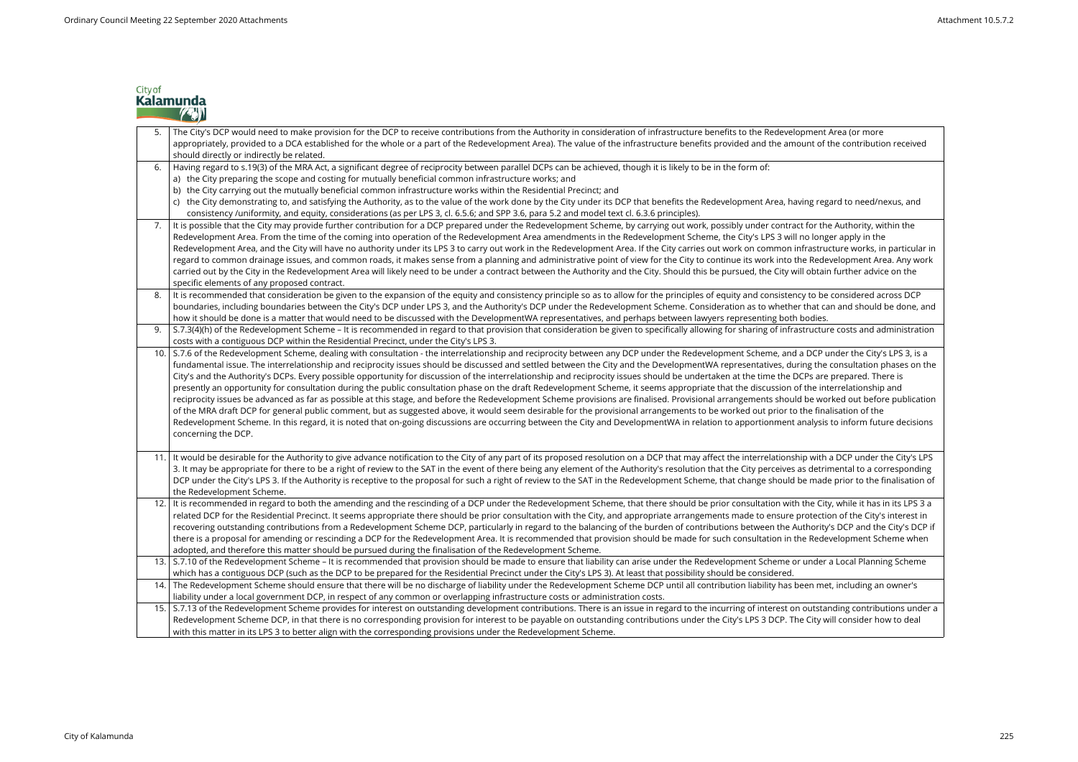|      | The City's DCP would need to make provision for the DCP to receive contributions from the Authority in consideration of infrastructure benefits to the Redevelopment Area (or more<br>appropriately, provided to a DCA established for the whole or a part of the Redevelopment Area). The value of the infrastructure benefits provided and the amount of the contributio<br>should directly or indirectly be related.                                                                                                                                                                                                                                                                                                                                                                                                                                                                                                                                                                                                                                                                                                                                                                                                                                                                                                                        |
|------|------------------------------------------------------------------------------------------------------------------------------------------------------------------------------------------------------------------------------------------------------------------------------------------------------------------------------------------------------------------------------------------------------------------------------------------------------------------------------------------------------------------------------------------------------------------------------------------------------------------------------------------------------------------------------------------------------------------------------------------------------------------------------------------------------------------------------------------------------------------------------------------------------------------------------------------------------------------------------------------------------------------------------------------------------------------------------------------------------------------------------------------------------------------------------------------------------------------------------------------------------------------------------------------------------------------------------------------------|
| 6.   | Having regard to s.19(3) of the MRA Act, a significant degree of reciprocity between parallel DCPs can be achieved, though it is likely to be in the form of:<br>a) the City preparing the scope and costing for mutually beneficial common infrastructure works; and<br>b) the City carrying out the mutually beneficial common infrastructure works within the Residential Precinct; and<br>c) the City demonstrating to, and satisfying the Authority, as to the value of the work done by the City under its DCP that benefits the Redevelopment Area, having regard to need/ne<br>consistency /uniformity, and equity, considerations (as per LPS 3, cl. 6.5.6; and SPP 3.6, para 5.2 and model text cl. 6.3.6 principles).                                                                                                                                                                                                                                                                                                                                                                                                                                                                                                                                                                                                               |
| 7.   | It is possible that the City may provide further contribution for a DCP prepared under the Redevelopment Scheme, by carrying out work, possibly under contract for the Authority, wire<br>Redevelopment Area. From the time of the coming into operation of the Redevelopment Area amendments in the Redevelopment Scheme, the City's LPS 3 will no longer apply in the<br>Redevelopment Area, and the City will have no authority under its LPS 3 to carry out work in the Redevelopment Area. If the City carries out work on common infrastructure works, in<br>regard to common drainage issues, and common roads, it makes sense from a planning and administrative point of view for the City to continue its work into the Redevelopment Are<br>carried out by the City in the Redevelopment Area will likely need to be under a contract between the Authority and the City. Should this be pursued, the City will obtain further advice<br>specific elements of any proposed contract.                                                                                                                                                                                                                                                                                                                                                |
| 8.   | It is recommended that consideration be given to the expansion of the equity and consistency principle so as to allow for the principles of equity and consistency to be considered ac<br>boundaries, including boundaries between the City's DCP under LPS 3, and the Authority's DCP under the Redevelopment Scheme. Consideration as to whether that can and should I<br>how it should be done is a matter that would need to be discussed with the DevelopmentWA representatives, and perhaps between lawyers representing both bodies.                                                                                                                                                                                                                                                                                                                                                                                                                                                                                                                                                                                                                                                                                                                                                                                                    |
|      | S.7.3(4)(h) of the Redevelopment Scheme - It is recommended in regard to that provision that consideration be given to specifically allowing for sharing of infrastructure costs and ad<br>costs with a contiguous DCP within the Residential Precinct, under the City's LPS 3.                                                                                                                                                                                                                                                                                                                                                                                                                                                                                                                                                                                                                                                                                                                                                                                                                                                                                                                                                                                                                                                                |
| 10.  | S.7.6 of the Redevelopment Scheme, dealing with consultation - the interrelationship and reciprocity between any DCP under the Redevelopment Scheme, and a DCP under the City's<br>fundamental issue. The interrelationship and reciprocity issues should be discussed and settled between the City and the DevelopmentWA representatives, during the consultation p<br>City's and the Authority's DCPs. Every possible opportunity for discussion of the interrelationship and reciprocity issues should be undertaken at the time the DCPs are prepared. The<br>presently an opportunity for consultation during the public consultation phase on the draft Redevelopment Scheme, it seems appropriate that the discussion of the interrelationship<br>reciprocity issues be advanced as far as possible at this stage, and before the Redevelopment Scheme provisions are finalised. Provisional arrangements should be worked out befor<br>of the MRA draft DCP for general public comment, but as suggested above, it would seem desirable for the provisional arrangements to be worked out prior to the finalisation of the<br>Redevelopment Scheme. In this regard, it is noted that on-going discussions are occurring between the City and DevelopmentWA in relation to apportionment analysis to inform futu<br>concerning the DCP. |
| 11.  | It would be desirable for the Authority to give advance notification to the City of any part of its proposed resolution on a DCP that may affect the interrelationship with a DCP under tl<br>3. It may be appropriate for there to be a right of review to the SAT in the event of there being any element of the Authority's resolution that the City perceives as detrimental to a cor<br>DCP under the City's LPS 3. If the Authority is receptive to the proposal for such a right of review to the SAT in the Redevelopment Scheme, that change should be made prior to the fi<br>the Redevelopment Scheme.                                                                                                                                                                                                                                                                                                                                                                                                                                                                                                                                                                                                                                                                                                                              |
| 12.  | It is recommended in regard to both the amending and the rescinding of a DCP under the Redevelopment Scheme, that there should be prior consultation with the City, while it has i<br>related DCP for the Residential Precinct. It seems appropriate there should be prior consultation with the City, and appropriate arrangements made to ensure protection of the City's<br>recovering outstanding contributions from a Redevelopment Scheme DCP, particularly in regard to the balancing of the burden of contributions between the Authority's DCP and the<br>there is a proposal for amending or rescinding a DCP for the Redevelopment Area. It is recommended that provision should be made for such consultation in the Redevelopment Sch<br>adopted, and therefore this matter should be pursued during the finalisation of the Redevelopment Scheme.                                                                                                                                                                                                                                                                                                                                                                                                                                                                                |
|      | 13. S.7.10 of the Redevelopment Scheme - It is recommended that provision should be made to ensure that liability can arise under the Redevelopment Scheme or under a Local Plannir<br>which has a contiguous DCP (such as the DCP to be prepared for the Residential Precinct under the City's LPS 3). At least that possibility should be considered.                                                                                                                                                                                                                                                                                                                                                                                                                                                                                                                                                                                                                                                                                                                                                                                                                                                                                                                                                                                        |
| 14.  | The Redevelopment Scheme should ensure that there will be no discharge of liability under the Redevelopment Scheme DCP until all contribution liability has been met, including an<br>liability under a local government DCP, in respect of any common or overlapping infrastructure costs or administration costs.                                                                                                                                                                                                                                                                                                                                                                                                                                                                                                                                                                                                                                                                                                                                                                                                                                                                                                                                                                                                                            |
| 15.1 | S.7.13 of the Redevelopment Scheme provides for interest on outstanding development contributions. There is an issue in regard to the incurring of interest on outstanding contribu<br>Redevelopment Scheme DCP, in that there is no corresponding provision for interest to be payable on outstanding contributions under the City's LPS 3 DCP. The City will consider ho<br>with this matter in its LPS 3 to better align with the corresponding provisions under the Redevelopment Scheme.                                                                                                                                                                                                                                                                                                                                                                                                                                                                                                                                                                                                                                                                                                                                                                                                                                                  |



## t of the contribution received

regard to need/nexus, and

r the Authority, within the onger apply in the structure works, in particular in edevelopment Area. Any work tain further advice on the to be

be considered across DCP at can and should be done, and the Authority

cture costs and administration

10. S.5.6 of the Redevelopment Scheme, dealing with consultation - the City's LPS 3, is a the consultation phases on the are prepared. There is tion interrelation ship and worked out before publication

ysis to inform future decisions are o

ith a DCP under the City's LPS etrimental to a corresponding nade prior to the finalisation of

nded in regard to both the amending of a DCP under the Redevelopment Scheme, the Redevelopment Scheme, the Redevelopment Scheme, the Redevelopment Scheme, the City, while the City, while the City, while the City, with the ection of the City's interest in rity's DCP and the City's DCP if edevelopment Scheme when

der a Local Planning Scheme

met, including an owner's

nder Schement Scheme provides for interest on outstanding contributions under an interest on outstanding contributions. There is an issue in  $\overline{a}$ ty will consider how to deal